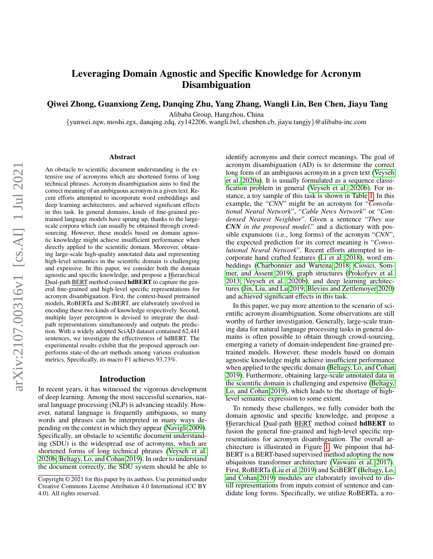# Leveraging Domain Agnostic and Specific Knowledge for Acronym Disambiguation

## Qiwei Zhong, Guanxiong Zeng, Danqing Zhu, Yang Zhang, Wangli Lin, Ben Chen, Jiayu Tang

Alibaba Group, Hangzhou, China

{yunwei.zqw, moshi.zgx, danqing.zdq, zy142206, wangli.lwl, chenben.cb, jiayu.tangjy}@alibaba-inc.com

#### Abstract

An obstacle to scientific document understanding is the extensive use of acronyms which are shortened forms of long technical phrases. Acronym disambiguation aims to find the correct meaning of an ambiguous acronym in a given text. Recent efforts attempted to incorporate word embeddings and deep learning architectures, and achieved significant effects in this task. In general domains, kinds of fine-grained pretrained language models have sprung up, thanks to the largescale corpora which can usually be obtained through crowdsourcing. However, these models based on domain agnostic knowledge might achieve insufficient performance when directly applied to the scientific domain. Moreover, obtaining large-scale high-quality annotated data and representing high-level semantics in the scientific domain is challenging and expensive. In this paper, we consider both the domain agnostic and specific knowledge, and propose a Hierarchical Dual-path BERT method coined hdBERT to capture the general fine-grained and high-level specific representations for acronym disambiguation. First, the context-based pretrained models, RoBERTa and SciBERT, are elaborately involved in encoding these two kinds of knowledge respectively. Second, multiple layer perceptron is devised to integrate the dualpath representations simultaneously and outputs the prediction. With a widely adopted SciAD dataset contained 62,441 sentences, we investigate the effectiveness of hdBERT. The experimental results exhibit that the proposed approach outperforms state-of-the-art methods among various evaluation metrics. Specifically, its macro F1 achieves 93.73%.

### Introduction

In recent years, it has witnessed the vigorous development of deep learning. Among the most successful scenarios, natural language processing (NLP) is advancing steadily. However, natural language is frequently ambiguous, so many words and phrases can be interpreted in many ways depending on the context in which they appear [\(Navigli 2009\)](#page-7-0). Specifically, an obstacle to scientific document understanding (SDU) is the widespread use of acronyms, which are shortened forms of long technical phrases [\(Veyseh et al.](#page-7-1) [2020b;](#page-7-1) [Beltagy, Lo, and Cohan 2019\)](#page-6-0). In order to understand the document correctly, the SDU system should be able to identify acronyms and their correct meanings. The goal of acronym disambiguation (AD) is to determine the correct long form of an ambiguous acronym in a given text [\(Veyseh](#page-7-2) [et al. 2020a\)](#page-7-2). It is usually formulated as a sequence classification problem in general [\(Veyseh et al. 2020b\)](#page-7-1). For instance, a toy sample of this task is shown in Table [1.](#page-1-0) In this example, the "*CNN*" might be an acronym for "*Convolutional Neural Network*", "*Cable News Network*" or "*Condensed Nearest Neighbor*". Given a sentence "*They use CNN in the proposed model*." and a dictionary with possible expansions (i.e., long forms) of the acronym "*CNN*", the expected prediction for its correct meaning is "*Convolutional Neural Network*". Recent efforts attempted to incorporate hand crafted features [\(Li et al. 2018\)](#page-7-3), word embeddings [\(Charbonnier and Wartena 2018;](#page-6-1) [Ciosici, Som](#page-6-2)[mer, and Assent 2019\)](#page-6-2), graph structures [\(Prokofyev et al.](#page-7-4) [2013;](#page-7-4) [Veyseh et al. 2020b\)](#page-7-1), and deep learning architectures [\(Jin, Liu, and Lu 2019;](#page-7-5) [Blevins and Zettlemoyer 2020\)](#page-6-3) and achieved significant effects in this task.

In this paper, we pay more attention to the scenario of scientific acronym disambiguation. Some observations are still worthy of further investigation. Generally, large-scale training data for natural language processing tasks in general domains is often possible to obtain through crowd-sourcing, emerging a variety of domain-independent fine-grained pretrained models. However, these models based on domain agnostic knowledge might achieve insufficient performance when applied to the specific domain [\(Beltagy, Lo, and Cohan](#page-6-0) [2019\)](#page-6-0). Furthermore, obtaining large-scale annotated data in the scientific domain is challenging and expensive [\(Beltagy,](#page-6-0) [Lo, and Cohan 2019\)](#page-6-0), which leads to the shortage of highlevel semantic expression to some extent.

To remedy these challenges, we fully consider both the domain agnostic and specific knowledge, and propose a Hierarchical Dual-path BERT method coined hdBERT to fusion the general fine-grained and high-level specific representations for acronym disambiguation. The overall architecture is illustrated in Figure [1.](#page-2-0) We pinpoint that hd-BERT is a BERT-based supervised method adopting the now ubiquitous transformer architecture [\(Vaswani et al. 2017\)](#page-7-6). First, RoBERTa [\(Liu et al. 2019\)](#page-7-7) and SciBERT [\(Beltagy, Lo,](#page-6-0) [and Cohan 2019\)](#page-6-0) modules are elaborately involved to distill representations from inputs consist of sentence and candidate long forms. Specifically, we utilize RoBERTa, a ro-

Copyright © 2021 for this paper by its authors. Use permitted under Creative Commons License Attribution 4.0 International (CC BY 4.0). All rights reserved.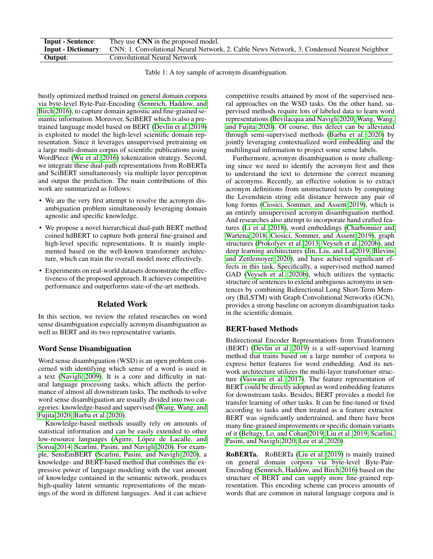<span id="page-1-0"></span>

| <b>Input - Sentence:</b> | They use CNN in the proposed model.                                                                                   |
|--------------------------|-----------------------------------------------------------------------------------------------------------------------|
|                          | <b>Input - Dictionary:</b> CNN: 1. Convolutional Neural Network, 2. Cable News Network, 3. Condensed Nearest Neighbor |
| Output:                  | Convolutional Neural Network                                                                                          |

Table 1: A toy sample of acronym disambiguation.

bustly optimized method trained on general domain corpora via byte-level Byte-Pair-Encoding [\(Sennrich, Haddow, and](#page-7-8) [Birch 2016\)](#page-7-8), to capture domain agnostic and fine-grained semantic information. Moreover, SciBERT which is also a pretrained language model based on BERT [\(Devlin et al. 2019\)](#page-6-4) is exploited to model the high-level scientific domain representation. Since it leverages unsupervised pretraining on a large multi-domain corpus of scientific publications using WordPiece [\(Wu et al. 2016\)](#page-7-9) tokenization strategy. Second, we integrate these dual-path representations from RoBERTa and SciBERT simultaneously via multiple layer perceptron and output the prediction. The main contributions of this work are summarized as follows:

- We are the very first attempt to resolve the acronym disambiguation problem simultaneously leveraging domain agnostic and specific knowledge.
- We propose a novel hierarchical dual-path BERT method coined hdBERT to capture both general fine-grained and high-level specific representations. It is mainly implemented based on the well-known transformer architecture, which can train the overall model more effectively.
- Experiments on real-world datasets demonstrate the effectiveness of the proposed approach. It achieves competitive performance and outperforms state-of-the-art methods.

## Related Work

In this section, we review the related researches on word sense disambiguation especially acronym disambiguation as well as BERT and its two representative variants.

## Word Sense Disambiguation

Word sense disambiguation (WSD) is an open problem concerned with identifying which sense of a word is used in a text [\(Navigli 2009\)](#page-7-0). It is a core and difficulty in natural language processing tasks, which affects the performance of almost all downstream tasks. The methods to solve word sense disambiguation are usually divided into two categories: knowledge-based and supervised [\(Wang, Wang, and](#page-7-10) [Fujita 2020;](#page-7-10) [Barba et al. 2020\)](#page-6-5).

Knowledge-based methods usually rely on amounts of statistical information and can be easily extended to other low-resource languages (Agirre, López de Lacalle, and [Soroa 2014;](#page-6-6) [Scarlini, Pasini, and Navigli 2020\)](#page-7-11). For example, SensEmBERT [\(Scarlini, Pasini, and Navigli 2020\)](#page-7-11), a knowledge- and BERT-based method that combines the expressive power of language modeling with the vast amount of knowledge contained in the semantic network, produces high-quality latent semantic representations of the meanings of the word in different languages. And it can achieve

competitive results attained by most of the supervised neural approaches on the WSD tasks. On the other hand, supervised methods require lots of labeled data to learn word representations [\(Bevilacqua and Navigli 2020;](#page-6-7) [Wang, Wang,](#page-7-10) [and Fujita 2020\)](#page-7-10). Of course, this defect can be alleviated through semi-supervised methods [\(Barba et al. 2020\)](#page-6-5) by jointly leveraging contextualized word embedding and the multilingual information to project some sense labels.

Furthermore, acronym disambiguation is more challenging since we need to identify the acronym first and then to understand the text to determine the correct meaning of acronyms. Recently, an effective solution is to extract acronym definitions from unstructured texts by computing the Levenshtein string edit distance between any pair of long forms [\(Ciosici, Sommer, and Assent 2019\)](#page-6-2), which is an entirely unsupervised acronym disambiguation method. And researches also attempt to incorporate hand crafted features [\(Li et al. 2018\)](#page-7-3), word embeddings [\(Charbonnier and](#page-6-1) [Wartena 2018;](#page-6-1) [Ciosici, Sommer, and Assent 2019\)](#page-6-2), graph structures [\(Prokofyev et al. 2013;](#page-7-4) [Veyseh et al. 2020b\)](#page-7-1), and deep learning architectures [\(Jin, Liu, and Lu 2019;](#page-7-5) [Blevins](#page-6-3) [and Zettlemoyer 2020\)](#page-6-3), and have achieved significant effects in this task. Specifically, a supervised method named GAD [\(Veyseh et al. 2020b\)](#page-7-1), which utilizes the syntactic structure of sentences to extend ambiguous acronyms in sentences by combining Bidirectional Long Short-Term Memory (BiLSTM) with Graph Convolutional Networks (GCN), provides a strong baseline on acronym disambiguation tasks in the scientific domain.

## BERT-based Methods

Bidirectional Encoder Representations from Transformers (BERT) [\(Devlin et al. 2019\)](#page-6-4) is a self-supervised learning method that trains based on a large number of corpora to express better features for word embedding. And its network architecture utilizes the multi-layer transformer structure [\(Vaswani et al. 2017\)](#page-7-6). The feature representation of BERT could be directly adopted as word embedding features for downstream tasks. Besides, BERT provides a model for transfer learning of other tasks. It can be fine-tuned or fixed according to tasks and then treated as a feature extractor. BERT was significantly undertrained, and there have been many fine-grained improvements or specific domain variants of it [\(Beltagy, Lo, and Cohan 2019;](#page-6-0) [Liu et al. 2019;](#page-7-7) [Scarlini,](#page-7-11) [Pasini, and Navigli 2020;](#page-7-11) [Lee et al. 2020\)](#page-7-12).

RoBERTa. RoBERTa [\(Liu et al. 2019\)](#page-7-7) is mainly trained on general domain corpora via byte-level Byte-Pair-Encoding [\(Sennrich, Haddow, and Birch 2016\)](#page-7-8) based on the structure of BERT and can supply more fine-grained representation. This encoding scheme can process amounts of words that are common in natural language corpora and is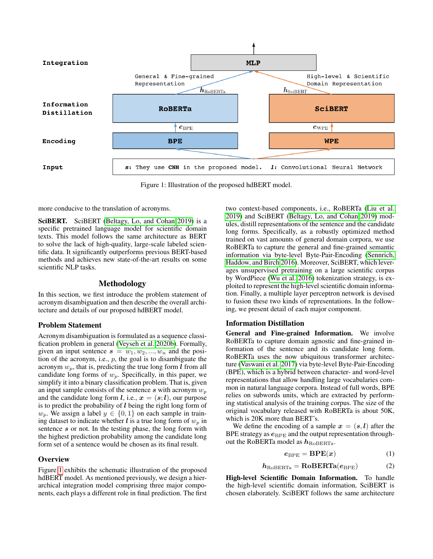<span id="page-2-0"></span>

Figure 1: Illustration of the proposed hdBERT model.

more conducive to the translation of acronyms.

SciBERT. SciBERT [\(Beltagy, Lo, and Cohan 2019\)](#page-6-0) is a specific pretrained language model for scientific domain texts. This model follows the same architecture as BERT to solve the lack of high-quality, large-scale labeled scientific data. It significantly outperforms previous BERT-based methods and achieves new state-of-the-art results on some scientific NLP tasks.

## Methodology

In this section, we first introduce the problem statement of acronym disambiguation and then describe the overall architecture and details of our proposed hdBERT model.

### Problem Statement

Acronym disambiguation is formulated as a sequence classification problem in general [\(Veyseh et al. 2020b\)](#page-7-1). Formally, given an input sentence  $s = w_1, w_2, ..., w_n$  and the position of the acronym, i.e.,  $p$ , the goal is to disambiguate the acronym  $w_p$ , that is, predicting the true long form l from all candidate long forms of  $w_p$ . Specifically, in this paper, we simplify it into a binary classification problem. That is, given an input sample consists of the sentence  $s$  with acronym  $w_p$ and the candidate long form *l*, i.e.,  $x = (s; l)$ , our purpose is to predict the probability of  $l$  being the right long form of  $w_p$ . We assign a label  $y \in \{0, 1\}$  on each sample in training dataset to indicate whether l is a true long form of  $w_p$  in sentence s or not. In the testing phase, the long form with the highest prediction probability among the candidate long form set of a sentence would be chosen as its final result.

### **Overview**

Figure [1](#page-2-0) exhibits the schematic illustration of the proposed hdBERT model. As mentioned previously, we design a hierarchical integration model comprising three major components, each plays a different role in final prediction. The first

two context-based components, i.e., RoBERTa [\(Liu et al.](#page-7-7) [2019\)](#page-7-7) and SciBERT [\(Beltagy, Lo, and Cohan 2019\)](#page-6-0) modules, distill representations of the sentence and the candidate long forms. Specifically, as a robustly optimized method trained on vast amounts of general domain corpora, we use RoBERTa to capture the general and fine-grained semantic information via byte-level Byte-Pair-Encoding [\(Sennrich,](#page-7-8) [Haddow, and Birch 2016\)](#page-7-8). Moreover, SciBERT, which leverages unsupervised pretraining on a large scientific corpus by WordPiece [\(Wu et al. 2016\)](#page-7-9) tokenization strategy, is exploited to represent the high-level scientific domain information. Finally, a multiple layer perceptron network is devised to fusion these two kinds of representations. In the following, we present detail of each major component.

#### Information Distillation

General and Fine-grained Information. We involve RoBERTa to capture domain agnostic and fine-grained information of the sentence and its candidate long form. RoBERTa uses the now ubiquitous transformer architecture [\(Vaswani et al. 2017\)](#page-7-6) via byte-level Byte-Pair-Encoding (BPE), which is a hybrid between character- and word-level representations that allow handling large vocabularies common in natural language corpora. Instead of full words, BPE relies on subwords units, which are extracted by performing statistical analysis of the training corpus. The size of the original vocabulary released with RoBERTa is about 50K, which is 20K more than BERT's.

We define the encoding of a sample  $x = (s, l)$  after the BPE strategy as  $e_{\text{BPE}}$  and the output representation throughout the RoBERTa model as  $h_{\text{RoBERTa}}$ .

$$
e_{\rm BPE} = \text{BPE}(x) \tag{1}
$$

$$
h_{\text{RoBERTa}} = \text{RoBERTa}(e_{\text{BPE}}) \tag{2}
$$

High-level Scientific Domain Information. To handle the high-level scientific domain information, SciBERT is chosen elaborately. SciBERT follows the same architecture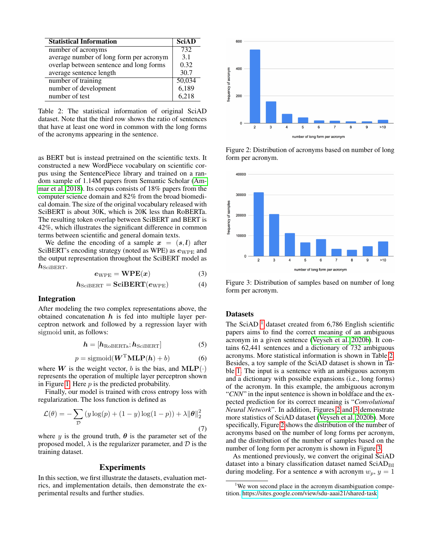<span id="page-3-1"></span>

| <b>Statistical Information</b>          | SciAD  |
|-----------------------------------------|--------|
| number of acronyms                      | 732    |
| average number of long form per acronym | 3.1    |
| overlap between sentence and long forms | 0.32   |
| average sentence length                 | 30.7   |
| number of training                      | 50,034 |
| number of development                   | 6,189  |
| number of test                          | 6.218  |

Table 2: The statistical information of original SciAD dataset. Note that the third row shows the ratio of sentences that have at least one word in common with the long forms of the acronyms appearing in the sentence.

as BERT but is instead pretrained on the scientific texts. It constructed a new WordPiece vocabulary on scientific corpus using the SentencePiece library and trained on a random sample of 1.14M papers from Semantic Scholar [\(Am](#page-6-8)[mar et al. 2018\)](#page-6-8). Its corpus consists of 18% papers from the computer science domain and 82% from the broad biomedical domain. The size of the original vocabulary released with SciBERT is about 30K, which is 20K less than RoBERTa. The resulting token overlap between SciBERT and BERT is 42%, which illustrates the significant difference in common terms between scientific and general domain texts.

We define the encoding of a sample  $x = (s, l)$  after SciBERT's encoding strategy (noted as WPE) as  $e_{WPE}$  and the output representation throughout the SciBERT model as  $h_{\scriptstyle\text{SciBERT}}$ .

$$
e_{\text{WPE}} = \text{WPE}(x) \tag{3}
$$

$$
h_{\text{SciBERT}} = \text{SciBERT}(e_{\text{WPE}}) \tag{4}
$$

### Integration

After modeling the two complex representations above, the obtained concatenation  $h$  is fed into multiple layer perceptron network and followed by a regression layer with sigmoid unit, as follows:

$$
h = [h_{\text{RoBERTa}}; h_{\text{SciBERT}}] \tag{5}
$$

$$
p = \text{sigmoid}(\mathbf{W}^{\mathrm{T}} \mathbf{MLP}(\mathbf{h}) + b)
$$
 (6)

where W is the weight vector, b is the bias, and  $MLP(\cdot)$ represents the operation of multiple layer perceptron shown in Figure [1.](#page-2-0) Here  $p$  is the predicted probability.

Finally, our model is trained with cross entropy loss with regularization. The loss function is defined as

$$
\mathcal{L}(\theta) = -\sum_{\mathcal{D}} \left( y \log(p) + (1 - y) \log(1 - p) \right) + \lambda \|\theta\|_2^2
$$
\n(7)

where y is the ground truth,  $\theta$  is the parameter set of the proposed model,  $\lambda$  is the regularizer parameter, and  $\mathcal D$  is the training dataset.

## **Experiments**

In this section, we first illustrate the datasets, evaluation metrics, and implementation details, then demonstrate the experimental results and further studies.

<span id="page-3-2"></span>

Figure 2: Distribution of acronyms based on number of long form per acronym.

<span id="page-3-3"></span>

Figure 3: Distribution of samples based on number of long form per acronym.

### **Datasets**

The SciAD  $<sup>1</sup>$  $<sup>1</sup>$  $<sup>1</sup>$  dataset created from 6,786 English scientific</sup> papers aims to find the correct meaning of an ambiguous acronym in a given sentence [\(Veyseh et al. 2020b\)](#page-7-1). It contains 62,441 sentences and a dictionary of 732 ambiguous acronyms. More statistical information is shown in Table [2.](#page-3-1) Besides, a toy sample of the SciAD dataset is shown in Table [1.](#page-1-0) The input is a sentence with an ambiguous acronym and a dictionary with possible expansions (i.e., long forms) of the acronym. In this example, the ambiguous acronym "*CNN*" in the input sentence is shown in boldface and the expected prediction for its correct meaning is "*Convolutional Neural Network*". In addition, Figures [2](#page-3-2) and [3](#page-3-3) demonstrate more statistics of SciAD dataset [\(Veyseh et al. 2020b\)](#page-7-1). More specifically, Figure [2](#page-3-2) shows the distribution of the number of acronyms based on the number of long forms per acronym, and the distribution of the number of samples based on the number of long form per acronym is shown in Figure [3.](#page-3-3)

As mentioned previously, we convert the original SciAD dataset into a binary classification dataset named  $SciAD<sub>BI</sub>$ during modeling. For a sentence s with acronym  $w_p$ ,  $y = 1$ 

<span id="page-3-0"></span><sup>&</sup>lt;sup>1</sup>We won second place in the acronym disambiguation competition.<https://sites.google.com/view/sdu-aaai21/shared-task>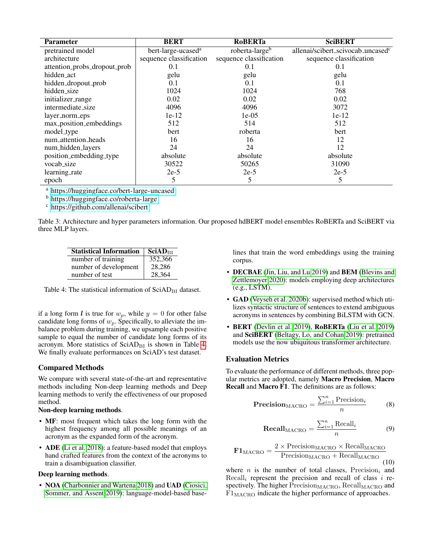<span id="page-4-1"></span>

| <b>Parameter</b>             | <b>BERT</b>                    | <b>RoBERTa</b>             | <b>SciBERT</b>                    |
|------------------------------|--------------------------------|----------------------------|-----------------------------------|
| pretrained model             | bert-large-ucased <sup>a</sup> | roberta-large <sup>b</sup> | allenai/scibert_scivocab_uncasedc |
| architecture                 | sequence classification        | sequence classification    | sequence classification           |
| attention_probs_dropout_prob | 0.1                            | 0.1                        | 0.1                               |
| hidden_act                   | gelu                           | gelu                       | gelu                              |
| hidden_dropout_prob          | 0.1                            | 0.1                        | 0.1                               |
| hidden size                  | 1024                           | 1024                       | 768                               |
| initializer_range            | 0.02                           | 0.02                       | 0.02                              |
| intermediate_size            | 4096                           | 4096                       | 3072                              |
| layer_norm_eps               | $1e-12$                        | $1e-05$                    | $1e-12$                           |
| max_position_embeddings      | 512                            | 514                        | 512                               |
| model_type                   | bert                           | roberta                    | bert                              |
| num_attention_heads          | 16                             | 16                         | 12                                |
| num_hidden_layers            | 24                             | 24                         | 12                                |
| position_embedding_type      | absolute                       | absolute                   | absolute                          |
| vocab_size                   | 30522                          | 50265                      | 31090                             |
| learning_rate                | $2e-5$                         | $2e-5$                     | $2e-5$                            |
| epoch                        | 5                              | 5                          | 5                                 |

a <https://huggingface.co/bert-large-uncased>

b <https://huggingface.co/roberta-large>

c <https://github.com/allenai/scibert>

<span id="page-4-0"></span>Table 3: Architecture and hyper parameters information. Our proposed hdBERT model ensembles RoBERTa and SciBERT via three MLP layers.

| <b>Statistical Information</b> | SciAD <sub>RI</sub> |
|--------------------------------|---------------------|
| number of training             | 352,366             |
| number of development          | 28,286              |
| number of test                 | 28,364              |

Table 4: The statistical information of  $SciAD<sub>BI</sub>$  dataset.

if a long form *l* is true for  $w_p$ , while  $y = 0$  for other false candidate long forms of  $w_p$ . Specifically, to alleviate the imbalance problem during training, we upsample each positive sample to equal the number of candidate long forms of its acronym. More statistics of  $SciAD<sub>BI</sub>$  is shown in Table [4.](#page-4-0) We finally evaluate performances on SciAD's test dataset.

### Compared Methods

We compare with several state-of-the-art and representative methods including Non-deep learning methods and Deep learning methods to verify the effectiveness of our proposed method.

#### Non-deep learning methods.

- MF: most frequent which takes the long form with the highest frequency among all possible meanings of an acronym as the expanded form of the acronym.
- ADE [\(Li et al. 2018\)](#page-7-3): a feature-based model that employs hand crafted features from the context of the acronyms to train a disambiguation classifier.

### Deep learning methods.

• NOA [\(Charbonnier and Wartena 2018\)](#page-6-1) and UAD [\(Ciosici,](#page-6-2) [Sommer, and Assent 2019\)](#page-6-2): language-model-based baselines that train the word embeddings using the training corpus.

- DECBAE [\(Jin, Liu, and Lu 2019\)](#page-7-5) and BEM [\(Blevins and](#page-6-3) [Zettlemoyer 2020\)](#page-6-3): models employing deep architectures (e.g., LSTM).
- GAD [\(Veyseh et al. 2020b\)](#page-7-1): supervised method which utilizes syntactic structure of sentences to extend ambiguous acronyms in sentences by combining BiLSTM with GCN.
- BERT [\(Devlin et al. 2019\)](#page-6-4), RoBERTa [\(Liu et al. 2019\)](#page-7-7) and SciBERT [\(Beltagy, Lo, and Cohan 2019\)](#page-6-0): pretrained models use the now ubiquitous transformer architecture.

### Evaluation Metrics

To evaluate the performance of different methods, three popular metrics are adopted, namely Macro Precision, Macro Recall and Macro F1. The definitions are as follows:

$$
Precision_{MACRO} = \frac{\sum_{i=1}^{n} Precision_{i}}{n}
$$
 (8)

$$
\text{Recall}_{\text{MACRO}} = \frac{\sum_{i=1}^{n} \text{Recall}_i}{n} \tag{9}
$$

$$
\mathbf{F1}_{\text{MACRO}} = \frac{2 \times \text{Precision}_{\text{MACRO}} \times \text{Recall}_{\text{MACRO}}}{\text{Precision}_{\text{MACRO}} + \text{Recall}_{\text{MACRO}}} \tag{10}
$$

where *n* is the number of total classes, Precision<sub>i</sub> and  $Recall<sub>i</sub>$  represent the precision and recall of class i respectively. The higher Precision $_{\text{MACRO}}$ , Recall $_{\text{MACRO}}$  and  $F1<sub>MACRO</sub>$  indicate the higher performance of approaches.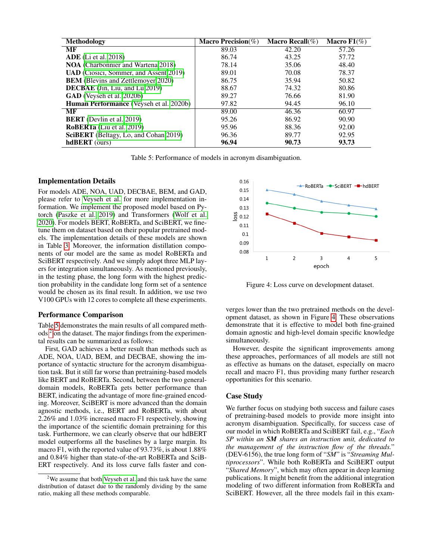<span id="page-5-0"></span>

| <b>Methodology</b>                             | <b>Macro Precision</b> $(\%)$ | <b>Macro Recall</b> $(\%)$ | Macro $F1(\%)$ |
|------------------------------------------------|-------------------------------|----------------------------|----------------|
| MF                                             | 89.03                         | 42.20                      | 57.26          |
| $ADE$ (Li et al. 2018)                         | 86.74                         | 43.25                      | 57.72          |
| <b>NOA</b> (Charbonnier and Wartena 2018)      | 78.14                         | 35.06                      | 48.40          |
| <b>UAD</b> (Ciosici, Sommer, and Assent 2019)  | 89.01                         | 70.08                      | 78.37          |
| <b>BEM</b> (Blevins and Zettlemoyer 2020)      | 86.75                         | 35.94                      | 50.82          |
| <b>DECBAE</b> (Jin, Liu, and Lu 2019)          | 88.67                         | 74.32                      | 80.86          |
| <b>GAD</b> (Veyseh et al. 2020b)               | 89.27                         | 76.66                      | 81.90          |
| <b>Human Performance</b> (Veyseh et al. 2020b) | 97.82                         | 94.45                      | 96.10          |
| MF                                             | 89.00                         | 46.36                      | 60.97          |
| <b>BERT</b> (Devlin et al. 2019)               | 95.26                         | 86.92                      | 90.90          |
| <b>RoBERTa</b> (Liu et al. 2019)               | 95.96                         | 88.36                      | 92.00          |
| <b>SciBERT</b> (Beltagy, Lo, and Cohan 2019)   | 96.36                         | 89.77                      | 92.95          |
| <b>hdBERT</b> (ours)                           | 96.94                         | 90.73                      | 93.73          |

Table 5: Performance of models in acronym disambiguation.

#### Implementation Details

For models ADE, NOA, UAD, DECBAE, BEM, and GAD, please refer to [Veyseh et al.](#page-7-1) for more implementation information. We implement the proposed model based on Pytorch [\(Paszke et al. 2019\)](#page-7-13) and Transformers [\(Wolf et al.](#page-7-14) [2020\)](#page-7-14). For models BERT, RoBERTa, and SciBERT, we finetune them on dataset based on their popular pretrained models. The implementation details of these models are shown in Table [3.](#page-4-1) Moreover, the information distillation components of our model are the same as model RoBERTa and SciBERT respectively. And we simply adopt three MLP layers for integration simultaneously. As mentioned previously, in the testing phase, the long form with the highest prediction probability in the candidate long form set of a sentence would be chosen as its final result. In addition, we use two V100 GPUs with 12 cores to complete all these experiments.

#### Performance Comparison

Table [5](#page-5-0) demonstrates the main results of all compared methods [2](#page-5-1) on the dataset. The major findings from the experimental results can be summarized as follows:

First, GAD achieves a better result than methods such as ADE, NOA, UAD, BEM, and DECBAE, showing the importance of syntactic structure for the acronym disambiguation task. But it still far worse than pretraining-based models like BERT and RoBERTa. Second, between the two generaldomain models, RoBERTa gets better performance than BERT, indicating the advantage of more fine-grained encoding. Moreover, SciBERT is more advanced than the domain agnostic methods, i.e., BERT and RoBERTa, with about 2.26% and 1.03% increased macro F1 respectively, showing the importance of the scientific domain pretraining for this task. Furthermore, we can clearly observe that our hdBERT model outperforms all the baselines by a large margin. Its macro F1, with the reported value of 93.73%, is about 1.88% and 0.84% higher than state-of-the-art RoBERTa and SciB-ERT respectively. And its loss curve falls faster and con-

<span id="page-5-2"></span>

Figure 4: Loss curve on development dataset.

verges lower than the two pretrained methods on the development dataset, as shown in Figure [4.](#page-5-2) These observations demonstrate that it is effective to model both fine-grained domain agnostic and high-level domain specific knowledge simultaneously.

However, despite the significant improvements among these approaches, performances of all models are still not as effective as humans on the dataset, especially on macro recall and macro F1, thus providing many further research opportunities for this scenario.

### Case Study

We further focus on studying both success and failure cases of pretraining-based models to provide more insight into acronym disambiguation. Specifically, for success case of our model in which RoBERTa and SciBERT fail, e.g., "*Each SP within an SM shares an instruction unit, dedicated to the management of the instruction flow of the threads.*" (DEV-6156), the true long form of "*SM*" is "*Streaming Multiprocessors*". While both RoBERTa and SciBERT output "*Shared Memory*", which may often appear in deep learning publications. It might benefit from the additional integration modeling of two different information from RoBERTa and SciBERT. However, all the three models fail in this exam-

<span id="page-5-1"></span> $2$ We assume that both [Veyseh et al.](#page-7-1) and this task have the same distribution of dataset due to the randomly dividing by the same ratio, making all these methods comparable.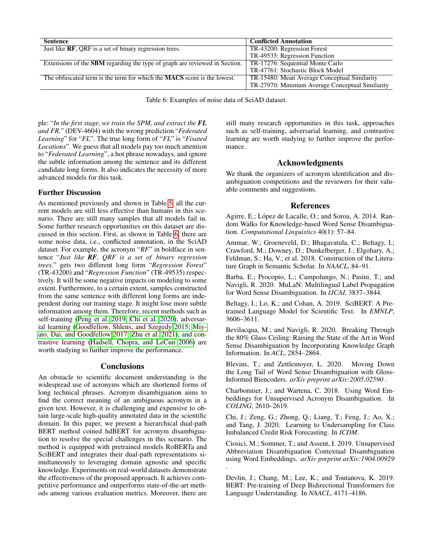<span id="page-6-9"></span>

| <b>Sentence</b>                                                                   | <b>Conflicted Annotation</b>                    |
|-----------------------------------------------------------------------------------|-------------------------------------------------|
| Just like RF, QRF is a set of binary regression trees.                            | TR-43200: Regression Forest                     |
|                                                                                   | TR-49535: Regression Function                   |
| Extensions of the <b>SBM</b> regarding the type of graph are reviewed in Section. | TR-17276: Sequential Monte Carlo                |
|                                                                                   | TR-47761: Stochastic Block Model                |
| The obfuscated term is the term for which the <b>MACS</b> score is the lowest.    | TR-15480: Mean Average Conceptual Similarity    |
|                                                                                   | TR-27970: Minimum Average Conceptual Similarity |

Table 6: Examples of noise data of SciAD dataset.

ple: "*In the first stage, we train the SPM, and extract the FL and FR.*" (DEV-4604) with the wrong prediction "*Federated Learning*" for "*FL*". The true long form of "*FL*" is "*Fixated Locations*". We guess that all models pay too much attention to "*Federated Learning*", a hot phrase nowadays, and ignore the subtle information among the sentence and its different candidate long forms. It also indicates the necessity of more advanced models for this task.

## Further Discussion

As mentioned previously and shown in Table [5,](#page-5-0) all the current models are still less effective than humans in this scenario. There are still many samples that all models fail in. Some further research opportunities on this dataset are discussed in this section. First, as shown in Table [6,](#page-6-9) there are some noise data, i.e., conflicted annotation, in the SciAD dataset. For example, the acronym "*RF*" in boldface in sentence "*Just like RF, QRF is a set of binary regression trees.*" gets two different long form "*Regression Forest*" (TR-43200) and "*Regression Function*" (TR-49535) respectively. It will be some negative impacts on modeling to some extent. Furthermore, to a certain extent, samples constructed from the same sentence with different long forms are independent during our training stage. It might lose more subtle information among them. Therefore, recent methods such as self-training [\(Peng et al. 2019;](#page-7-15) [Chi et al. 2020\)](#page-6-10), adversarial learning [\(Goodfellow, Shlens, and Szegedy 2015;](#page-7-16) [Miy](#page-7-17)[ato, Dai, and Goodfellow 2017;](#page-7-17) [Zhu et al. 2021\)](#page-7-18), and contrastive learning [\(Hadsell, Chopra, and LeCun 2006\)](#page-7-19) are worth studying to further improve the performance.

## **Conclusions**

An obstacle to scientific document understanding is the widespread use of acronyms which are shortened forms of long technical phrases. Acronym disambiguation aims to find the correct meaning of an ambiguous acronym in a given text. However, it is challenging and expensive to obtain large-scale high-quality annotated data in the scientific domain. In this paper, we present a hierarchical dual-path BERT method coined hdBERT for acronym disambiguation to resolve the special challenges in this scenario. The method is equipped with pretrained models RoBERTa and SciBERT and integrates their dual-path representations simultaneously to leveraging domain agnostic and specific knowledge. Experiments on real-world datasets demonstrate the effectiveness of the proposed approach. It achieves competitive performance and outperforms state-of-the-art methods among various evaluation metrics. Moreover, there are

still many research opportunities in this task, approaches such as self-training, adversarial learning, and contrastive learning are worth studying to further improve the performance.

## Acknowledgments

We thank the organizers of acronym identification and disambiguation competitions and the reviewers for their valuable comments and suggestions.

## References

<span id="page-6-6"></span>Agirre, E.; López de Lacalle, O.; and Soroa, A. 2014. Random Walks for Knowledge-based Word Sense Disambiguation. *Computational Linguistics* 40(1): 57–84.

<span id="page-6-8"></span>Ammar, W.; Groeneveld, D.; Bhagavatula, C.; Beltagy, I.; Crawford, M.; Downey, D.; Dunkelberger, J.; Elgohary, A.; Feldman, S.; Ha, V.; et al. 2018. Construction of the Literature Graph in Semantic Scholar. In *NAACL*, 84–91.

<span id="page-6-5"></span>Barba, E.; Procopio, L.; Campolungo, N.; Pasini, T.; and Navigli, R. 2020. MuLaN: Multilingual Label Propagation for Word Sense Disambiguation. In *IJCAI*, 3837–3844.

<span id="page-6-0"></span>Beltagy, I.; Lo, K.; and Cohan, A. 2019. SciBERT: A Pretrained Language Model for Scientific Text. In *EMNLP*, 3606–3611.

<span id="page-6-7"></span>Bevilacqua, M.; and Navigli, R. 2020. Breaking Through the 80% Glass Ceiling: Raising the State of the Art in Word Sense Disambiguation by Incorporating Knowledge Graph Information. In *ACL*, 2854–2864.

<span id="page-6-3"></span>Blevins, T.; and Zettlemoyer, L. 2020. Moving Down the Long Tail of Word Sense Disambiguation with Gloss-Informed Biencoders. *arXiv preprint arXiv:2005.02590* .

<span id="page-6-1"></span>Charbonnier, J.; and Wartena, C. 2018. Using Word Embeddings for Unsupervised Acronym Disambiguation. In *COLING*, 2610–2619.

<span id="page-6-10"></span>Chi, J.; Zeng, G.; Zhong, Q.; Liang, T.; Feng, J.; Ao, X.; and Tang, J. 2020. Learning to Undersampling for Class Imbalanced Credit Risk Forecasting. In *ICDM*.

<span id="page-6-2"></span>Ciosici, M.; Sommer, T.; and Assent, I. 2019. Unsupervised Abbreviation Disambiguation Contextual Disambiguation using Word Embeddings. *arXiv preprint arXiv:1904.00929* .

<span id="page-6-4"></span>Devlin, J.; Chang, M.; Lee, K.; and Toutanova, K. 2019. BERT: Pre-training of Deep Bidirectional Transformers for Language Understanding. In *NAACL*, 4171–4186.